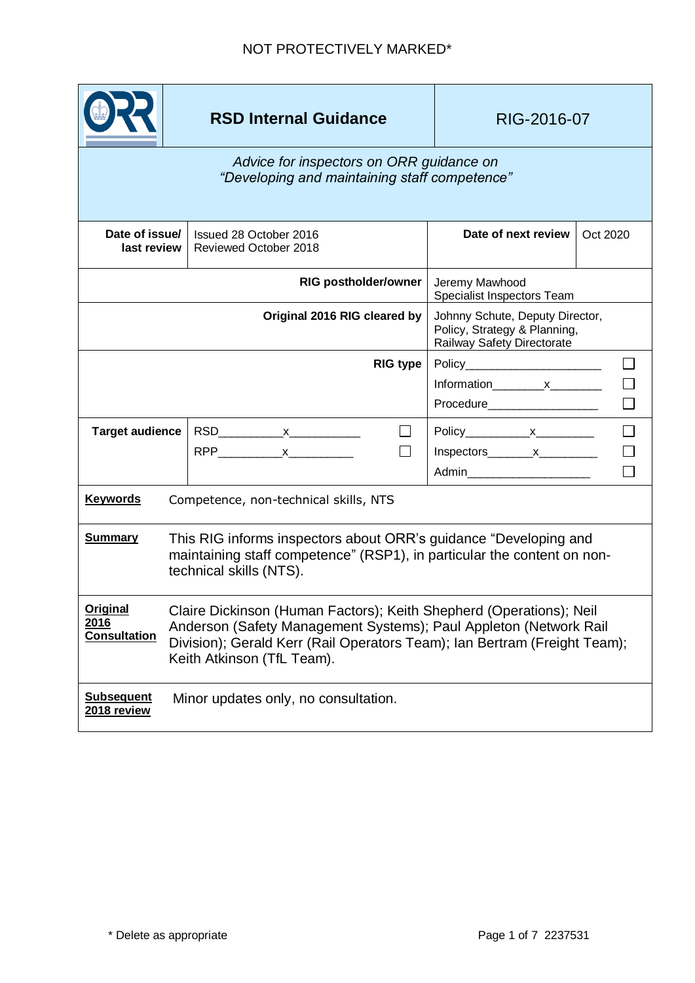# **RSD Internal Guidance RIG-2016-07**

| Date of issue/<br>last review                                                                                                                                                                                                                                                                  |                                      | Issued 28 October 2016<br>Reviewed October 2018 |                                                                                               | Date of next review                                            | Oct 2020 |
|------------------------------------------------------------------------------------------------------------------------------------------------------------------------------------------------------------------------------------------------------------------------------------------------|--------------------------------------|-------------------------------------------------|-----------------------------------------------------------------------------------------------|----------------------------------------------------------------|----------|
| <b>RIG postholder/owner</b>                                                                                                                                                                                                                                                                    |                                      |                                                 |                                                                                               | Jeremy Mawhood<br>Specialist Inspectors Team                   |          |
| Original 2016 RIG cleared by                                                                                                                                                                                                                                                                   |                                      |                                                 | Johnny Schute, Deputy Director,<br>Policy, Strategy & Planning,<br>Railway Safety Directorate |                                                                |          |
|                                                                                                                                                                                                                                                                                                |                                      |                                                 | <b>RIG type</b>                                                                               | Policy________________________<br>Procedure___________________ |          |
| <b>Target audience</b>                                                                                                                                                                                                                                                                         |                                      | $RPP$ x                                         |                                                                                               | $Inspectors$ $x$ $x$<br>Admin________________________          |          |
| <b>Keywords</b>                                                                                                                                                                                                                                                                                |                                      | Competence, non-technical skills, NTS           |                                                                                               |                                                                |          |
| <b>Summary</b><br>This RIG informs inspectors about ORR's guidance "Developing and<br>maintaining staff competence" (RSP1), in particular the content on non-<br>technical skills (NTS).                                                                                                       |                                      |                                                 |                                                                                               |                                                                |          |
| Original<br>Claire Dickinson (Human Factors); Keith Shepherd (Operations); Neil<br>2016<br>Anderson (Safety Management Systems); Paul Appleton (Network Rail<br><b>Consultation</b><br>Division); Gerald Kerr (Rail Operators Team); Ian Bertram (Freight Team);<br>Keith Atkinson (TfL Team). |                                      |                                                 |                                                                                               |                                                                |          |
| <b>Subsequent</b><br>2018 review                                                                                                                                                                                                                                                               | Minor updates only, no consultation. |                                                 |                                                                                               |                                                                |          |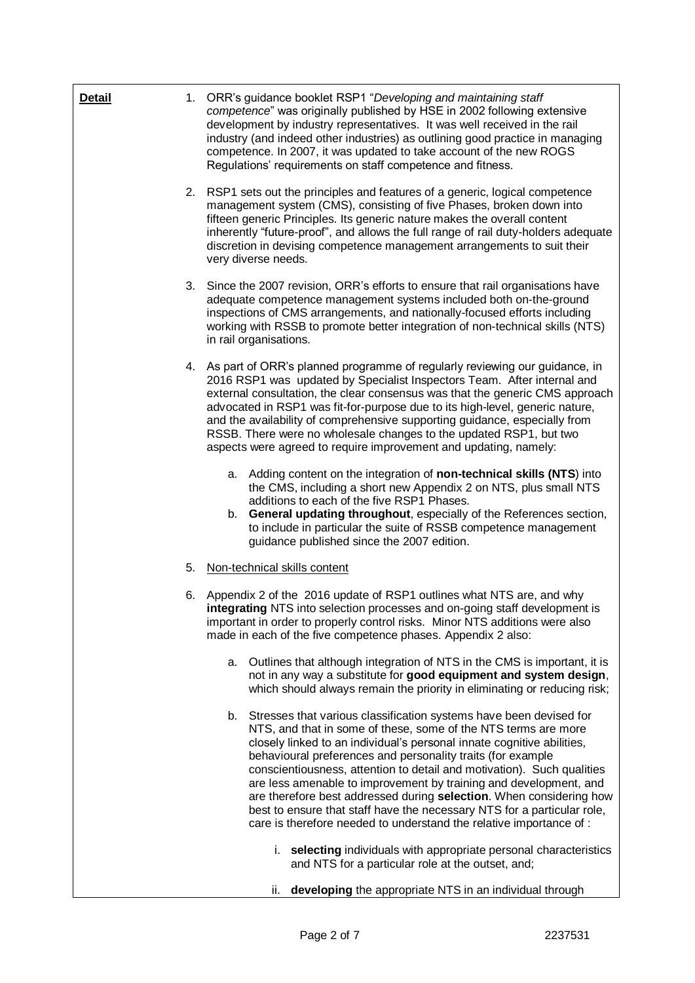| <b>Detail</b> |    | 1. ORR's guidance booklet RSP1 "Developing and maintaining staff<br>competence" was originally published by HSE in 2002 following extensive<br>development by industry representatives. It was well received in the rail<br>industry (and indeed other industries) as outlining good practice in managing<br>competence. In 2007, it was updated to take account of the new ROGS<br>Regulations' requirements on staff competence and fitness.                                                                                                                                                                                                           |  |
|---------------|----|----------------------------------------------------------------------------------------------------------------------------------------------------------------------------------------------------------------------------------------------------------------------------------------------------------------------------------------------------------------------------------------------------------------------------------------------------------------------------------------------------------------------------------------------------------------------------------------------------------------------------------------------------------|--|
|               |    | 2. RSP1 sets out the principles and features of a generic, logical competence<br>management system (CMS), consisting of five Phases, broken down into<br>fifteen generic Principles. Its generic nature makes the overall content<br>inherently "future-proof", and allows the full range of rail duty-holders adequate<br>discretion in devising competence management arrangements to suit their<br>very diverse needs.                                                                                                                                                                                                                                |  |
|               | 3. | Since the 2007 revision, ORR's efforts to ensure that rail organisations have<br>adequate competence management systems included both on-the-ground<br>inspections of CMS arrangements, and nationally-focused efforts including<br>working with RSSB to promote better integration of non-technical skills (NTS)<br>in rail organisations.                                                                                                                                                                                                                                                                                                              |  |
|               |    | 4. As part of ORR's planned programme of regularly reviewing our guidance, in<br>2016 RSP1 was updated by Specialist Inspectors Team. After internal and<br>external consultation, the clear consensus was that the generic CMS approach<br>advocated in RSP1 was fit-for-purpose due to its high-level, generic nature,<br>and the availability of comprehensive supporting guidance, especially from<br>RSSB. There were no wholesale changes to the updated RSP1, but two<br>aspects were agreed to require improvement and updating, namely:                                                                                                         |  |
|               |    | a. Adding content on the integration of non-technical skills (NTS) into<br>the CMS, including a short new Appendix 2 on NTS, plus small NTS<br>additions to each of the five RSP1 Phases.<br>General updating throughout, especially of the References section,<br>b.<br>to include in particular the suite of RSSB competence management<br>guidance published since the 2007 edition.                                                                                                                                                                                                                                                                  |  |
|               | 5. | Non-technical skills content                                                                                                                                                                                                                                                                                                                                                                                                                                                                                                                                                                                                                             |  |
|               |    | 6. Appendix 2 of the 2016 update of RSP1 outlines what NTS are, and why<br>integrating NTS into selection processes and on-going staff development is<br>important in order to properly control risks. Minor NTS additions were also<br>made in each of the five competence phases. Appendix 2 also:                                                                                                                                                                                                                                                                                                                                                     |  |
|               |    | a. Outlines that although integration of NTS in the CMS is important, it is<br>not in any way a substitute for good equipment and system design,<br>which should always remain the priority in eliminating or reducing risk;                                                                                                                                                                                                                                                                                                                                                                                                                             |  |
|               |    | b. Stresses that various classification systems have been devised for<br>NTS, and that in some of these, some of the NTS terms are more<br>closely linked to an individual's personal innate cognitive abilities,<br>behavioural preferences and personality traits (for example<br>conscientiousness, attention to detail and motivation). Such qualities<br>are less amenable to improvement by training and development, and<br>are therefore best addressed during selection. When considering how<br>best to ensure that staff have the necessary NTS for a particular role,<br>care is therefore needed to understand the relative importance of : |  |
|               |    | i. selecting individuals with appropriate personal characteristics<br>and NTS for a particular role at the outset, and;                                                                                                                                                                                                                                                                                                                                                                                                                                                                                                                                  |  |
|               |    | developing the appropriate NTS in an individual through<br>ii.                                                                                                                                                                                                                                                                                                                                                                                                                                                                                                                                                                                           |  |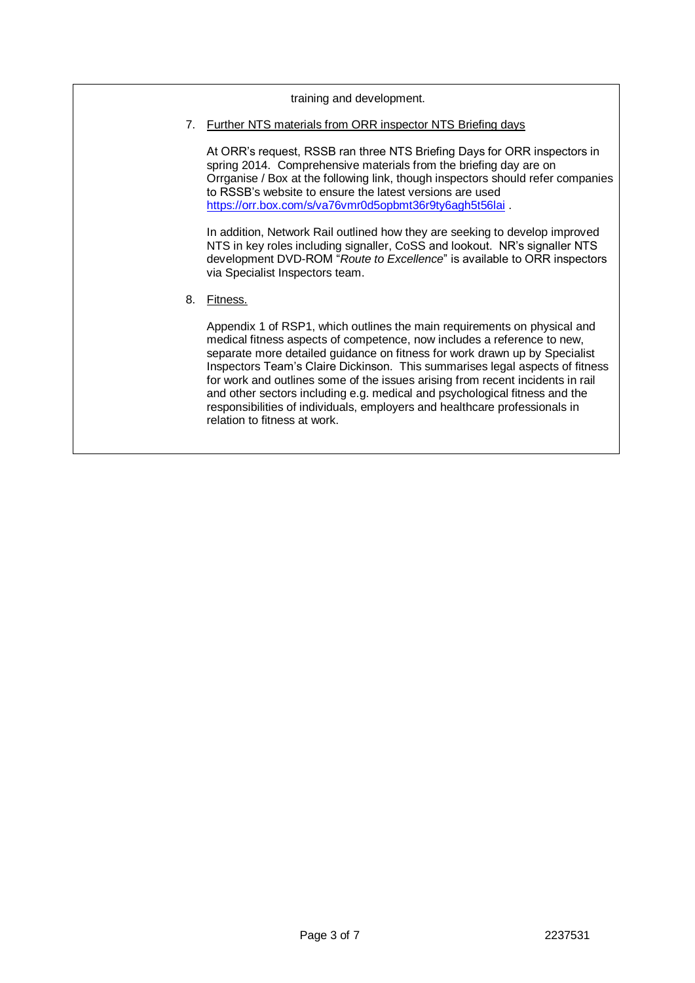#### training and development.

7. Further NTS materials from ORR inspector NTS Briefing days

At ORR's request, RSSB ran three NTS Briefing Days for ORR inspectors in spring 2014. Comprehensive materials from the briefing day are on Orrganise / Box at the following link, though inspectors should refer companies to RSSB's website to ensure the latest versions are used <https://orr.box.com/s/va76vmr0d5opbmt36r9ty6agh5t56lai>.

In addition, Network Rail outlined how they are seeking to develop improved NTS in key roles including signaller, CoSS and lookout. NR's signaller NTS development DVD-ROM "*Route to Excellence*" is available to ORR inspectors via Specialist Inspectors team.

8. Fitness.

Appendix 1 of RSP1, which outlines the main requirements on physical and medical fitness aspects of competence, now includes a reference to new, separate more detailed guidance on fitness for work drawn up by Specialist Inspectors Team's Claire Dickinson. This summarises legal aspects of fitness for work and outlines some of the issues arising from recent incidents in rail and other sectors including e.g. medical and psychological fitness and the responsibilities of individuals, employers and healthcare professionals in relation to fitness at work.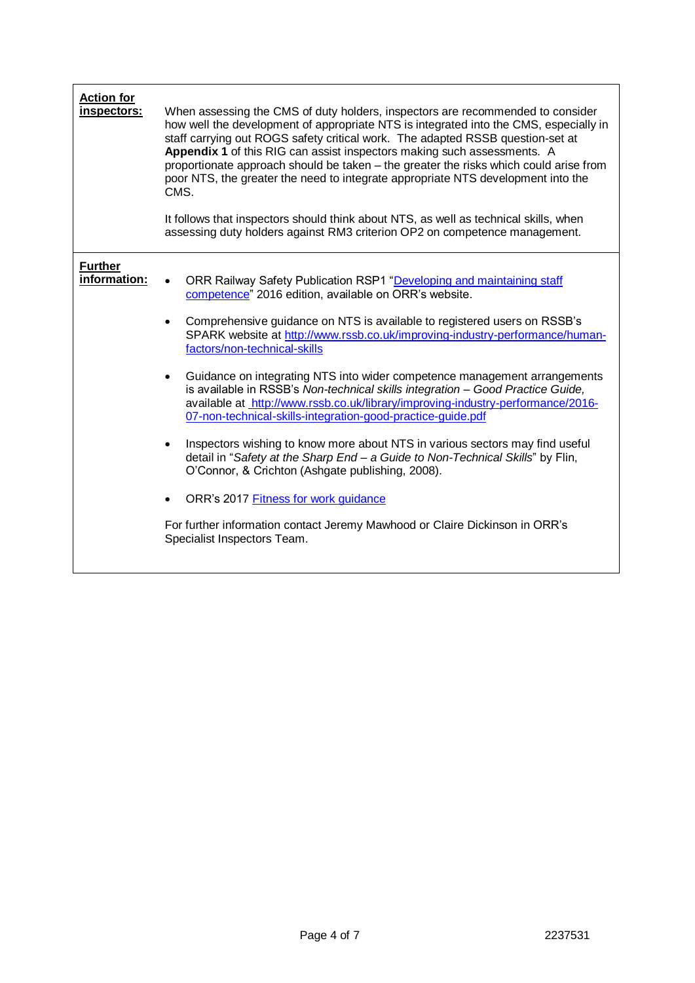| <b>Action for</b><br>inspectors: | When assessing the CMS of duty holders, inspectors are recommended to consider<br>how well the development of appropriate NTS is integrated into the CMS, especially in<br>staff carrying out ROGS safety critical work. The adapted RSSB question-set at<br>Appendix 1 of this RIG can assist inspectors making such assessments. A<br>proportionate approach should be taken - the greater the risks which could arise from<br>poor NTS, the greater the need to integrate appropriate NTS development into the<br>CMS.<br>It follows that inspectors should think about NTS, as well as technical skills, when<br>assessing duty holders against RM3 criterion OP2 on competence management.                                                                                                                                                                                                                                                                                                                                                                |
|----------------------------------|----------------------------------------------------------------------------------------------------------------------------------------------------------------------------------------------------------------------------------------------------------------------------------------------------------------------------------------------------------------------------------------------------------------------------------------------------------------------------------------------------------------------------------------------------------------------------------------------------------------------------------------------------------------------------------------------------------------------------------------------------------------------------------------------------------------------------------------------------------------------------------------------------------------------------------------------------------------------------------------------------------------------------------------------------------------|
| <b>Further</b><br>information:   | ORR Railway Safety Publication RSP1 "Developing and maintaining staff<br>competence" 2016 edition, available on ORR's website.<br>Comprehensive guidance on NTS is available to registered users on RSSB's<br>$\bullet$<br>SPARK website at http://www.rssb.co.uk/improving-industry-performance/human-<br>factors/non-technical-skills<br>Guidance on integrating NTS into wider competence management arrangements<br>$\bullet$<br>is available in RSSB's Non-technical skills integration - Good Practice Guide,<br>available at http://www.rssb.co.uk/library/improving-industry-performance/2016-<br>07-non-technical-skills-integration-good-practice-guide.pdf<br>Inspectors wishing to know more about NTS in various sectors may find useful<br>$\bullet$<br>detail in "Safety at the Sharp End - a Guide to Non-Technical Skills" by Flin,<br>O'Connor, & Crichton (Ashgate publishing, 2008).<br>ORR's 2017 Fitness for work guidance<br>For further information contact Jeremy Mawhood or Claire Dickinson in ORR's<br>Specialist Inspectors Team. |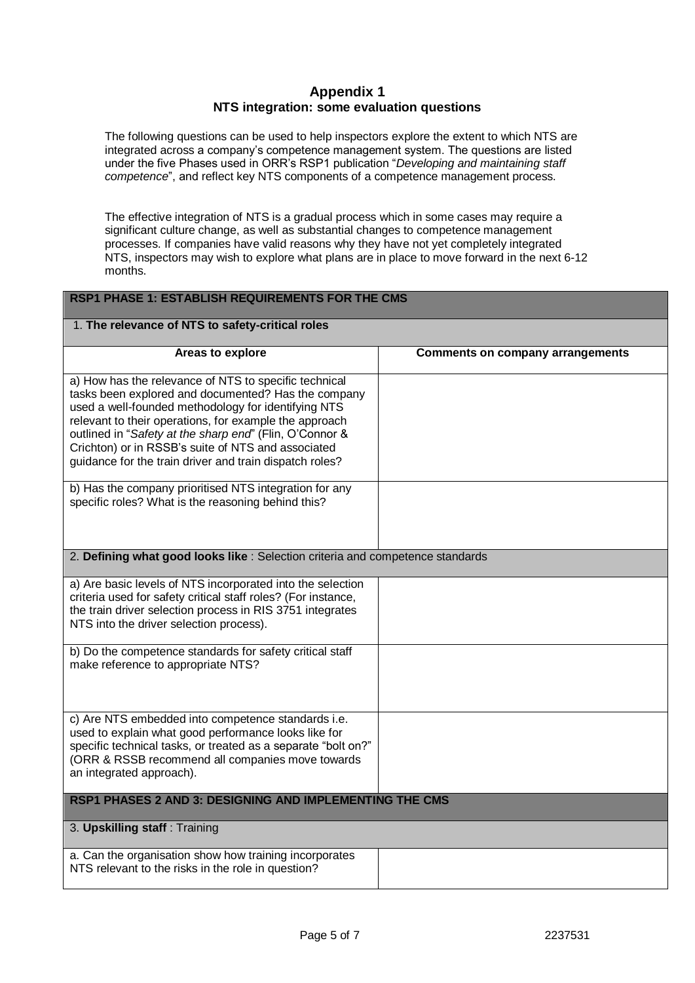# **Appendix 1 NTS integration: some evaluation questions**

The following questions can be used to help inspectors explore the extent to which NTS are integrated across a company's competence management system. The questions are listed under the five Phases used in ORR's RSP1 publication "*Developing and maintaining staff competence*", and reflect key NTS components of a competence management process.

The effective integration of NTS is a gradual process which in some cases may require a significant culture change, as well as substantial changes to competence management processes. If companies have valid reasons why they have not yet completely integrated NTS, inspectors may wish to explore what plans are in place to move forward in the next 6-12 months.

## **RSP1 PHASE 1: ESTABLISH REQUIREMENTS FOR THE CMS**

## 1. **The relevance of NTS to safety-critical roles**

| Areas to explore                                                               | <b>Comments on company arrangements</b> |
|--------------------------------------------------------------------------------|-----------------------------------------|
|                                                                                |                                         |
| a) How has the relevance of NTS to specific technical                          |                                         |
| tasks been explored and documented? Has the company                            |                                         |
| used a well-founded methodology for identifying NTS                            |                                         |
| relevant to their operations, for example the approach                         |                                         |
| outlined in "Safety at the sharp end" (Flin, O'Connor &                        |                                         |
| Crichton) or in RSSB's suite of NTS and associated                             |                                         |
| guidance for the train driver and train dispatch roles?                        |                                         |
|                                                                                |                                         |
| b) Has the company prioritised NTS integration for any                         |                                         |
| specific roles? What is the reasoning behind this?                             |                                         |
|                                                                                |                                         |
|                                                                                |                                         |
| 2. Defining what good looks like : Selection criteria and competence standards |                                         |
|                                                                                |                                         |
| a) Are basic levels of NTS incorporated into the selection                     |                                         |
| criteria used for safety critical staff roles? (For instance,                  |                                         |
| the train driver selection process in RIS 3751 integrates                      |                                         |
| NTS into the driver selection process).                                        |                                         |
| b) Do the competence standards for safety critical staff                       |                                         |
| make reference to appropriate NTS?                                             |                                         |
|                                                                                |                                         |
|                                                                                |                                         |
|                                                                                |                                         |
| c) Are NTS embedded into competence standards i.e.                             |                                         |
| used to explain what good performance looks like for                           |                                         |
| specific technical tasks, or treated as a separate "bolt on?"                  |                                         |
| (ORR & RSSB recommend all companies move towards                               |                                         |
| an integrated approach).                                                       |                                         |
| <b>RSP1 PHASES 2 AND 3: DESIGNING AND IMPLEMENTING THE CMS</b>                 |                                         |
|                                                                                |                                         |
| 3. Upskilling staff: Training                                                  |                                         |
|                                                                                |                                         |
| a. Can the organisation show how training incorporates                         |                                         |
| NTS relevant to the risks in the role in question?                             |                                         |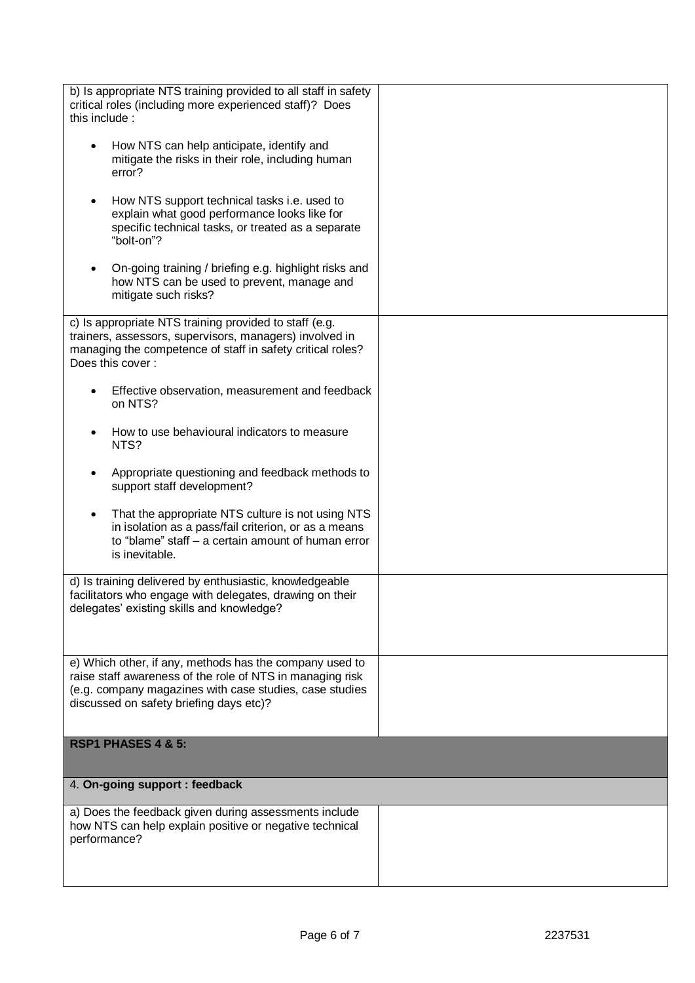| b) Is appropriate NTS training provided to all staff in safety<br>critical roles (including more experienced staff)? Does                                                                                                  |  |
|----------------------------------------------------------------------------------------------------------------------------------------------------------------------------------------------------------------------------|--|
| this include:                                                                                                                                                                                                              |  |
| How NTS can help anticipate, identify and<br>mitigate the risks in their role, including human<br>error?                                                                                                                   |  |
| How NTS support technical tasks i.e. used to<br>explain what good performance looks like for<br>specific technical tasks, or treated as a separate<br>"bolt-on"?                                                           |  |
| On-going training / briefing e.g. highlight risks and<br>how NTS can be used to prevent, manage and<br>mitigate such risks?                                                                                                |  |
| c) Is appropriate NTS training provided to staff (e.g.<br>trainers, assessors, supervisors, managers) involved in<br>managing the competence of staff in safety critical roles?<br>Does this cover:                        |  |
| Effective observation, measurement and feedback<br>on NTS?                                                                                                                                                                 |  |
| How to use behavioural indicators to measure<br>NTS?                                                                                                                                                                       |  |
| Appropriate questioning and feedback methods to<br>support staff development?                                                                                                                                              |  |
| That the appropriate NTS culture is not using NTS<br>in isolation as a pass/fail criterion, or as a means<br>to "blame" staff - a certain amount of human error<br>is inevitable.                                          |  |
| d) Is training delivered by enthusiastic, knowledgeable<br>facilitators who engage with delegates, drawing on their<br>delegates' existing skills and knowledge?                                                           |  |
| e) Which other, if any, methods has the company used to<br>raise staff awareness of the role of NTS in managing risk<br>(e.g. company magazines with case studies, case studies<br>discussed on safety briefing days etc)? |  |
| RSP1 PHASES 4 & 5:                                                                                                                                                                                                         |  |
| 4. On-going support : feedback                                                                                                                                                                                             |  |
| a) Does the feedback given during assessments include<br>how NTS can help explain positive or negative technical<br>performance?                                                                                           |  |